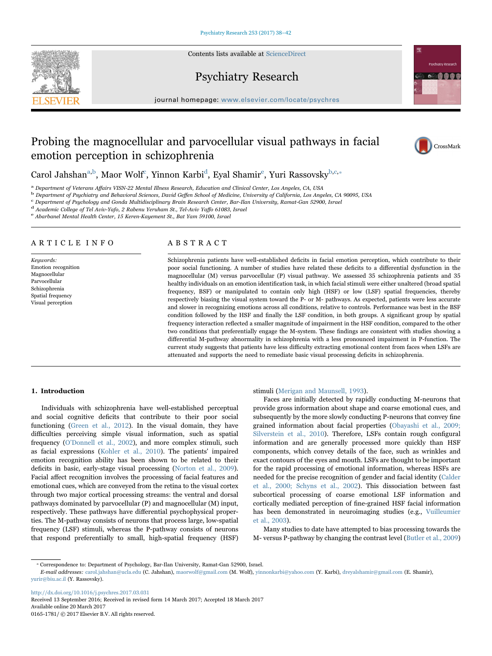Contents lists available at [ScienceDirect](http://www.sciencedirect.com/science/journal/01651781)



# Psychiatry Research

journal homepage: [www.elsevier.com/locate/psychres](http://www.elsevier.com/locate/psychres)

# Probing the magnocellular and parvocellular visual pathways in facial emotion perception in schizophrenia



Carol Jahshan<sup>[a,b](#page-0-0)</sup>, Maor Wolf<sup>c</sup>[, Yinnon Karbi](#page-0-2)<sup>d</sup>[, Eyal Shamir](#page-0-3)<sup>e</sup>[, Yuri Rassovsky](#page-0-4)<sup>[b,](#page-0-1)[c,](#page-0-2)</sup>\*

<span id="page-0-1"></span>

<span id="page-0-0"></span>a Department of Veterans Affairs VISN-22 Mental Illness Research, Education and Clinical Center, Los Angeles, CA, USA<br>b Department of Psychiatry and Behavioral Sciences, David Geffen School of Medicine, University of Cali

<span id="page-0-2"></span>

<span id="page-0-3"></span>d Academic College of Tel Aviv-Yafo, 2 Rabenu Yeruham St., Tel-Aviv Yaffo 61083, Israel<br>e Abarbanel Mental Health Center, 15 Keren-Kayement St., Bat Yam 59100, Israel

<span id="page-0-4"></span>

# ARTICLE INFO

Keywords: Emotion recognition Magnocellular Parvocellular Schizophrenia Spatial frequency Visual perception

# ABSTRACT

Schizophrenia patients have well-established deficits in facial emotion perception, which contribute to their poor social functioning. A number of studies have related these deficits to a differential dysfunction in the magnocellular (M) versus parvocellular (P) visual pathway. We assessed 35 schizophrenia patients and 35 healthy individuals on an emotion identification task, in which facial stimuli were either unaltered (broad spatial frequency, BSF) or manipulated to contain only high (HSF) or low (LSF) spatial frequencies, thereby respectively biasing the visual system toward the P- or M- pathways. As expected, patients were less accurate and slower in recognizing emotions across all conditions, relative to controls. Performance was best in the BSF condition followed by the HSF and finally the LSF condition, in both groups. A significant group by spatial frequency interaction reflected a smaller magnitude of impairment in the HSF condition, compared to the other two conditions that preferentially engage the M-system. These findings are consistent with studies showing a differential M-pathway abnormality in schizophrenia with a less pronounced impairment in P-function. The current study suggests that patients have less difficulty extracting emotional content from faces when LSFs are attenuated and supports the need to remediate basic visual processing deficits in schizophrenia.

## 1. Introduction

Individuals with schizophrenia have well-established perceptual and social cognitive deficits that contribute to their poor social functioning ([Green et al., 2012\)](#page-3-0). In the visual domain, they have difficulties perceiving simple visual information, such as spatial frequency (O'[Donnell et al., 2002\)](#page-3-1), and more complex stimuli, such as facial expressions ([Kohler et al., 2010](#page-3-2)). The patients' impaired emotion recognition ability has been shown to be related to their deficits in basic, early-stage visual processing ([Norton et al., 2009\)](#page-3-3). Facial affect recognition involves the processing of facial features and emotional cues, which are conveyed from the retina to the visual cortex through two major cortical processing streams: the ventral and dorsal pathways dominated by parvocellular (P) and magnocellular (M) input, respectively. These pathways have differential psychophysical properties. The M-pathway consists of neurons that process large, low-spatial frequency (LSF) stimuli, whereas the P-pathway consists of neurons that respond preferentially to small, high-spatial frequency (HSF)

## stimuli ([Merigan and Maunsell, 1993\)](#page-3-4).

Faces are initially detected by rapidly conducting M-neurons that provide gross information about shape and coarse emotional cues, and subsequently by the more slowly conducting P-neurons that convey fine grained information about facial properties ([Obayashi et al., 2009;](#page-3-5) [Silverstein et al., 2010\)](#page-3-5). Therefore, LSFs contain rough configural information and are generally processed more quickly than HSF components, which convey details of the face, such as wrinkles and exact contours of the eyes and mouth. LSFs are thought to be important for the rapid processing of emotional information, whereas HSFs are needed for the precise recognition of gender and facial identity ([Calder](#page-3-6) [et al., 2000; Schyns et al., 2002](#page-3-6)). This dissociation between fast subcortical processing of coarse emotional LSF information and cortically mediated perception of fine-grained HSF facial information has been demonstrated in neuroimaging studies (e.g., [Vuilleumier](#page-4-0) [et al., 2003](#page-4-0)).

Many studies to date have attempted to bias processing towards the M- versus P-pathway by changing the contrast level ([Butler et al., 2009\)](#page-3-7)

<span id="page-0-5"></span>⁎ Correspondence to: Department of Psychology, Bar-Ilan University, Ramat-Gan 52900, Israel.

E-mail addresses: carol.jahshan@ucla.edu (C. Jahshan), maorwolf@gmail.com (M. Wolf), yinnonkarbi@yahoo.com (Y. Karbi), dreyalshamir@gmail.com (E. Shamir), yurir@biu.ac.il (Y. Rassovsky).

<http://dx.doi.org/10.1016/j.psychres.2017.03.031>

Received 13 September 2016; Received in revised form 14 March 2017; Accepted 18 March 2017 Available online 20 March 2017 0165-1781/ © 2017 Elsevier B.V. All rights reserved.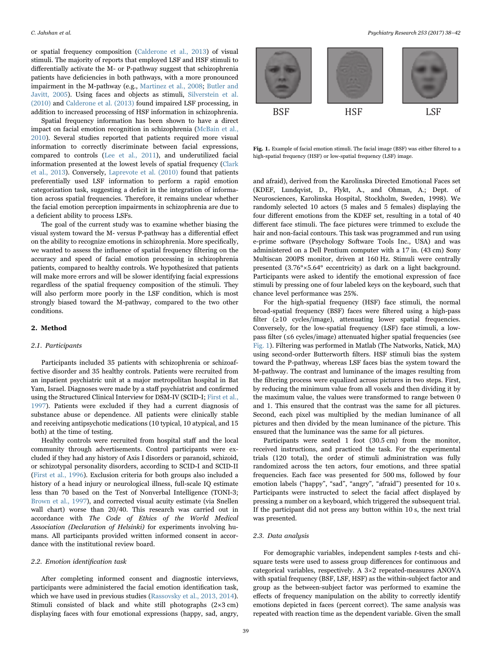or spatial frequency composition ([Calderone et al., 2013\)](#page-3-8) of visual stimuli. The majority of reports that employed LSF and HSF stimuli to differentially activate the M- or P-pathway suggest that schizophrenia patients have deficiencies in both pathways, with a more pronounced impairment in the M-pathway (e.g., [Martinez et al., 2008](#page-3-9); [Butler and](#page-3-10) [Javitt, 2005\)](#page-3-10). Using faces and objects as stimuli, [Silverstein et al.](#page-4-1) [\(2010\)](#page-4-1) and [Calderone et al. \(2013\)](#page-3-8) found impaired LSF processing, in addition to increased processing of HSF information in schizophrenia.

Spatial frequency information has been shown to have a direct impact on facial emotion recognition in schizophrenia ([McBain et al.,](#page-3-11) [2010\)](#page-3-11). Several studies reported that patients required more visual information to correctly discriminate between facial expressions, compared to controls [\(Lee et al., 2011](#page-3-12)), and underutilized facial information presented at the lowest levels of spatial frequency ([Clark](#page-3-13) [et al., 2013](#page-3-13)). Conversely, [Laprevote et al. \(2010\)](#page-3-14) found that patients preferentially used LSF information to perform a rapid emotion categorization task, suggesting a deficit in the integration of information across spatial frequencies. Therefore, it remains unclear whether the facial emotion perception impairments in schizophrenia are due to a deficient ability to process LSFs.

The goal of the current study was to examine whether biasing the visual system toward the M- versus P-pathway has a differential effect on the ability to recognize emotions in schizophrenia. More specifically, we wanted to assess the influence of spatial frequency filtering on the accuracy and speed of facial emotion processing in schizophrenia patients, compared to healthy controls. We hypothesized that patients will make more errors and will be slower identifying facial expressions regardless of the spatial frequency composition of the stimuli. They will also perform more poorly in the LSF condition, which is most strongly biased toward the M-pathway, compared to the two other conditions.

#### 2. Method

## 2.1. Participants

Participants included 35 patients with schizophrenia or schizoaffective disorder and 35 healthy controls. Patients were recruited from an inpatient psychiatric unit at a major metropolitan hospital in Bat Yam, Israel. Diagnoses were made by a staff psychiatrist and confirmed using the Structured Clinical Interview for DSM-IV (SCID-I; [First et al.,](#page-3-15) [1997\)](#page-3-15). Patients were excluded if they had a current diagnosis of substance abuse or dependence. All patients were clinically stable and receiving antipsychotic medications (10 typical, 10 atypical, and 15 both) at the time of testing.

Healthy controls were recruited from hospital staff and the local community through advertisements. Control participants were excluded if they had any history of Axis I disorders or paranoid, schizoid, or schizotypal personality disorders, according to SCID-I and SCID-II ([First et al., 1996](#page-3-16)). Exclusion criteria for both groups also included a history of a head injury or neurological illness, full-scale IQ estimate less than 70 based on the Test of Nonverbal Intelligence (TONI-3; [Brown et al., 1997](#page-3-17)), and corrected visual acuity estimate (via Snellen wall chart) worse than 20/40. This research was carried out in accordance with The Code of Ethics of the World Medical Association (Declaration of Helsinki) for experiments involving humans. All participants provided written informed consent in accordance with the institutional review board.

#### 2.2. Emotion identification task

After completing informed consent and diagnostic interviews, participants were administered the facial emotion identification task, which we have used in previous studies ([Rassovsky et al., 2013, 2014\)](#page-3-18). Stimuli consisted of black and white still photographs (2×3 cm) displaying faces with four emotional expressions (happy, sad, angry,

<span id="page-1-0"></span>

Fig. 1. Example of facial emotion stimuli. The facial image (BSF) was either filtered to a high-spatial frequency (HSF) or low-spatial frequency (LSF) image.

and afraid), derived from the Karolinska Directed Emotional Faces set (KDEF, Lundqvist, D., Flykt, A., and Ohman, A.; Dept. of Neurosciences, Karolinska Hospital, Stockholm, Sweden, 1998). We randomly selected 10 actors (5 males and 5 females) displaying the four different emotions from the KDEF set, resulting in a total of 40 different face stimuli. The face pictures were trimmed to exclude the hair and non-facial contours. This task was programmed and run using e-prime software (Psychology Software Tools Inc., USA) and was administered on a Dell Pentium computer with a 17 in. (43 cm) Sony Multiscan 200PS monitor, driven at 160 Hz. Stimuli were centrally presented (3.76°×5.64° eccentricity) as dark on a light background. Participants were asked to identify the emotional expression of face stimuli by pressing one of four labeled keys on the keyboard, such that chance level performance was 25%.

For the high-spatial frequency (HSF) face stimuli, the normal broad-spatial frequency (BSF) faces were filtered using a high-pass filter (≥10 cycles/image), attenuating lower spatial frequencies. Conversely, for the low-spatial frequency (LSF) face stimuli, a lowpass filter (≤6 cycles/image) attenuated higher spatial frequencies (see [Fig. 1\)](#page-1-0). Filtering was performed in Matlab (The Natworks, Natick, MA) using second-order Butterworth filters. HSF stimuli bias the system toward the P-pathway, whereas LSF faces bias the system toward the M-pathway. The contrast and luminance of the images resulting from the filtering process were equalized across pictures in two steps. First, by reducing the minimum value from all voxels and then dividing it by the maximum value, the values were transformed to range between 0 and 1. This ensured that the contrast was the same for all pictures. Second, each pixel was multiplied by the median luminance of all pictures and then divided by the mean luminance of the picture. This ensured that the luminance was the same for all pictures.

Participants were seated 1 foot (30.5 cm) from the monitor, received instructions, and practiced the task. For the experimental trials (120 total), the order of stimuli administration was fully randomized across the ten actors, four emotions, and three spatial frequencies. Each face was presented for 500 ms, followed by four emotion labels ("happy", "sad", "angry", "afraid") presented for 10 s. Participants were instructed to select the facial affect displayed by pressing a number on a keyboard, which triggered the subsequent trial. If the participant did not press any button within 10 s, the next trial was presented.

# 2.3. Data analysis

For demographic variables, independent samples t-tests and chisquare tests were used to assess group differences for continuous and categorical variables, respectively. A 3×2 repeated-measures ANOVA with spatial frequency (BSF, LSF, HSF) as the within-subject factor and group as the between-subject factor was performed to examine the effects of frequency manipulation on the ability to correctly identify emotions depicted in faces (percent correct). The same analysis was repeated with reaction time as the dependent variable. Given the small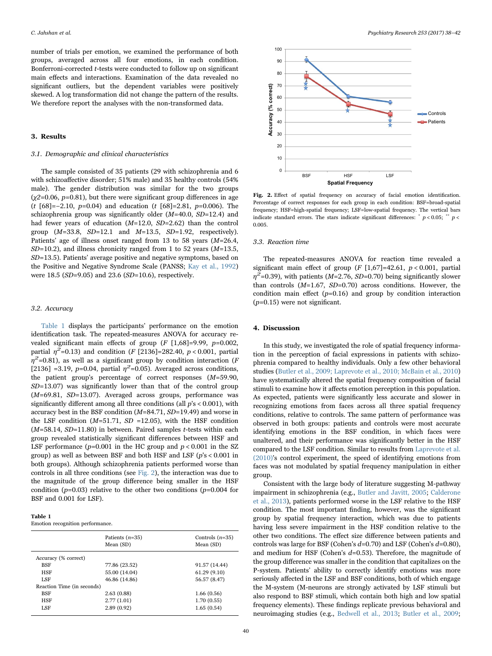number of trials per emotion, we examined the performance of both groups, averaged across all four emotions, in each condition. Bonferroni-corrected t-tests were conducted to follow up on significant main effects and interactions. Examination of the data revealed no significant outliers, but the dependent variables were positively skewed. A log transformation did not change the pattern of the results. We therefore report the analyses with the non-transformed data.

#### 3. Results

# 3.1. Demographic and clinical characteristics

The sample consisted of 35 patients (29 with schizophrenia and 6 with schizoaffective disorder; 51% male) and 35 healthy controls (54% male). The gender distribution was similar for the two groups  $(y2=0.06, p=0.81)$ , but there were significant group differences in age (t [68]=−2.10, p=0.04) and education (t [68]=2.81, p=0.006). The schizophrenia group was significantly older  $(M=40.0, SD=12.4)$  and had fewer years of education  $(M=12.0, SD=2.62)$  than the control group  $(M=33.8, SD=12.1$  and  $M=13.5, SD=1.92$ , respectively). Patients' age of illness onset ranged from 13 to 58 years  $(M=26.4,$  $SD=10.2$ ), and illness chronicity ranged from 1 to 52 years ( $M=13.5$ , SD=13.5). Patients' average positive and negative symptoms, based on the Positive and Negative Syndrome Scale (PANSS; [Kay et al., 1992\)](#page-3-19) were 18.5 (SD=9.05) and 23.6 (SD=10.6), respectively.

### 3.2. Accuracy

[Table 1](#page-2-0) displays the participants' performance on the emotion identification task. The repeated-measures ANOVA for accuracy revealed significant main effects of group  $(F [1,68] = 9.99, p=0.002,$ partial  $\eta^2$ =0.13) and condition (F [2136]=282.40, p < 0.001, partial  $\eta^2$ =0.81), as well as a significant group by condition interaction (F [2136] =3.19, p=0.04, partial  $\eta^2$ =0.05). Averaged across conditions, the patient group's percentage of correct responses (M=59.90, SD=13.07) was significantly lower than that of the control group (M=69.81, SD=13.07). Averaged across groups, performance was significantly different among all three conditions (all p's < 0.001), with accuracy best in the BSF condition (M=84.71, SD=19.49) and worse in the LSF condition ( $M=51.71$ ,  $SD =12.05$ ), with the HSF condition  $(M=58.14, SD=11.80)$  in between. Paired samples t-tests within each group revealed statistically significant differences between HSF and LSF performance  $(p=0.001$  in the HC group and  $p < 0.001$  in the SZ group) as well as between BSF and both HSF and LSF (p's < 0.001 in both groups). Although schizophrenia patients performed worse than controls in all three conditions (see [Fig. 2](#page-2-1)), the interaction was due to the magnitude of the group difference being smaller in the HSF condition ( $p=0.03$ ) relative to the other two conditions ( $p=0.004$  for BSF and 0.001 for LSF).

<span id="page-2-0"></span>

| anı |  |
|-----|--|
|     |  |

Emotion recognition performance.

|                            | Patients $(n=35)$<br>Mean (SD) | Controls $(n=35)$<br>Mean (SD) |
|----------------------------|--------------------------------|--------------------------------|
| Accuracy (% correct)       |                                |                                |
| <b>BSF</b>                 | 77.86 (23.52)                  | 91.57 (14.44)                  |
| <b>HSF</b>                 | 55.00 (14.04)                  | 61.29(9.10)                    |
| LSF                        | 46.86 (14.86)                  | 56.57 (8.47)                   |
| Reaction Time (in seconds) |                                |                                |
| BSF                        | 2.63(0.88)                     | 1.66(0.56)                     |
| <b>HSF</b>                 | 2.77(1.01)                     | 1.70(0.55)                     |
| LSF                        | 2.89(0.92)                     | 1.65(0.54)                     |
|                            |                                |                                |

<span id="page-2-1"></span>

Fig. 2. Effect of spatial frequency on accuracy of facial emotion identification. Percentage of correct responses for each group in each condition: BSF=broad-spatial frequency; HSF=high-spatial frequency; LSF=low-spatial frequency. The vertical bars indicate standard errors. The stars indicate significant differences:  $\degree p < 0.05$ ;  $\degree$   $\degree p <$ 0.005.

# 3.3. Reaction time

The repeated-measures ANOVA for reaction time revealed a significant main effect of group ( $F$  [1,67]=42.61,  $p < 0.001$ , partial  $\eta^2$ =0.39), with patients (M=2.76, SD=0.70) being significantly slower than controls  $(M=1.67, SD=0.70)$  across conditions. However, the condition main effect  $(p=0.16)$  and group by condition interaction  $(p=0.15)$  were not significant.

#### 4. Discussion

In this study, we investigated the role of spatial frequency information in the perception of facial expressions in patients with schizophrenia compared to healthy individuals. Only a few other behavioral studies ([Butler et al., 2009; Laprevote et al., 2010; McBain et al., 2010\)](#page-3-7) have systematically altered the spatial frequency composition of facial stimuli to examine how it affects emotion perception in this population. As expected, patients were significantly less accurate and slower in recognizing emotions from faces across all three spatial frequency conditions, relative to controls. The same pattern of performance was observed in both groups: patients and controls were most accurate identifying emotions in the BSF condition, in which faces were unaltered, and their performance was significantly better in the HSF compared to the LSF condition. Similar to results from [Laprevote et al.](#page-3-14) [\(2010\)'](#page-3-14)s control experiment, the speed of identifying emotions from faces was not modulated by spatial frequency manipulation in either group.

Consistent with the large body of literature suggesting M-pathway impairment in schizophrenia (e.g., [Butler and Javitt, 2005](#page-3-10); [Calderone](#page-3-8) [et al., 2013](#page-3-8)), patients performed worse in the LSF relative to the HSF condition. The most important finding, however, was the significant group by spatial frequency interaction, which was due to patients having less severe impairment in the HSF condition relative to the other two conditions. The effect size difference between patients and controls was large for BSF (Cohen's  $d=0.70$ ) and LSF (Cohen's  $d=0.80$ ), and medium for HSF (Cohen's  $d=0.53$ ). Therefore, the magnitude of the group difference was smaller in the condition that capitalizes on the P-system. Patients' ability to correctly identify emotions was more seriously affected in the LSF and BSF conditions, both of which engage the M-system (M-neurons are strongly activated by LSF stimuli but also respond to BSF stimuli, which contain both high and low spatial frequency elements). These findings replicate previous behavioral and neuroimaging studies (e.g., [Bedwell et al., 2013;](#page-3-20) [Butler et al., 2009](#page-3-7);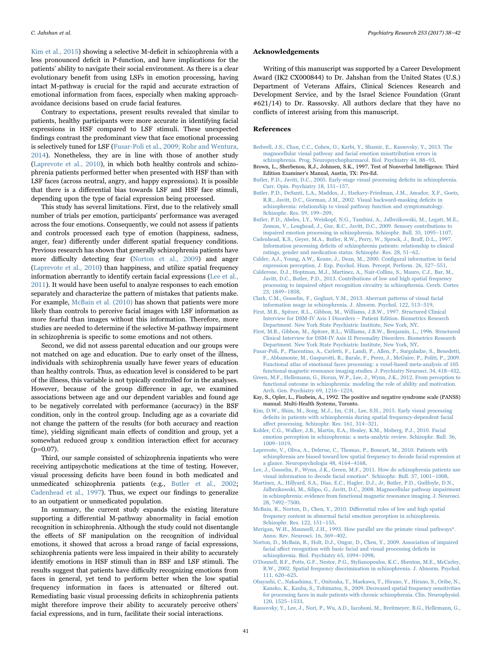[Kim et al., 2015\)](#page-3-21) showing a selective M-deficit in schizophrenia with a less pronounced deficit in P-function, and have implications for the patients' ability to navigate their social environment. As there is a clear evolutionary benefit from using LSFs in emotion processing, having intact M-pathway is crucial for the rapid and accurate extraction of emotional information from faces, especially when making approachavoidance decisions based on crude facial features.

Contrary to expectations, present results revealed that similar to patients, healthy participants were more accurate in identifying facial expressions in HSF compared to LSF stimuli. These unexpected findings contrast the predominant view that face emotional processing is selectively tuned for LSF ([Fusar-Poli et al., 2009; Rohr and Wentura,](#page-3-22) [2014\)](#page-3-22). Nonetheless, they are in line with those of another study ([Laprevote et al., 2010\)](#page-3-14), in which both healthy controls and schizophrenia patients performed better when presented with HSF than with LSF faces (across neutral, angry, and happy expressions). It is possible that there is a differential bias towards LSF and HSF face stimuli, depending upon the type of facial expression being processed.

This study has several limitations. First, due to the relatively small number of trials per emotion, participants' performance was averaged across the four emotions. Consequently, we could not assess if patients and controls processed each type of emotion (happiness, sadness, anger, fear) differently under different spatial frequency conditions. Previous research has shown that generally schizophrenia patients have more difficulty detecting fear [\(Norton et al., 2009](#page-3-3)) and anger ([Laprevote et al., 2010](#page-3-14)) than happiness, and utilize spatial frequency information aberrantly to identify certain facial expressions [\(Lee et al.,](#page-3-12) [2011\)](#page-3-12). It would have been useful to analyze responses to each emotion separately and characterize the pattern of mistakes that patients make. For example, [McBain et al. \(2010\)](#page-3-11) has shown that patients were more likely than controls to perceive facial images with LSF information as more fearful than images without this information. Therefore, more studies are needed to determine if the selective M-pathway impairment in schizophrenia is specific to some emotions and not others.

Second, we did not assess parental education and our groups were not matched on age and education. Due to early onset of the illness, individuals with schizophrenia usually have fewer years of education than healthy controls. Thus, as education level is considered to be part of the illness, this variable is not typically controlled for in the analyses. However, because of the group difference in age, we examined associations between age and our dependent variables and found age to be negatively correlated with performance (accuracy) in the BSF condition, only in the control group. Including age as a covariate did not change the pattern of the results (for both accuracy and reaction time), yielding significant main effects of condition and group, yet a somewhat reduced group x condition interaction effect for accuracy (p=0.07).

Third, our sample consisted of schizophrenia inpatients who were receiving antipsychotic medications at the time of testing. However, visual processing deficits have been found in both medicated and unmedicated schizophrenia patients (e.g., [Butler et al., 2002](#page-3-23); [Cadenhead et al., 1997\)](#page-3-24). Thus, we expect our findings to generalize to an outpatient or unmedicated population.

In summary, the current study expands the existing literature supporting a differential M-pathway abnormality in facial emotion recognition in schizophrenia. Although the study could not disentangle the effects of SF manipulation on the recognition of individual emotions, it showed that across a broad range of facial expressions, schizophrenia patients were less impaired in their ability to accurately identify emotions in HSF stimuli than in BSF and LSF stimuli. The results suggest that patients have difficulty recognizing emotions from faces in general, yet tend to perform better when the low spatial frequency information in faces is attenuated or filtered out. Remediating basic visual processing deficits in schizophrenia patients might therefore improve their ability to accurately perceive others' facial expressions, and in turn, facilitate their social interactions.

#### Acknowledgements

Writing of this manuscript was supported by a Career Development Award (IK2 CX000844) to Dr. Jahshan from the United States (U.S.) Department of Veterans Affairs, Clinical Sciences Research and Development Service, and by the Israel Science Foundation (Grant #621/14) to Dr. Rassovsky. All authors declare that they have no conflicts of interest arising from this manuscript.

### References

- <span id="page-3-20"></span>[Bedwell, J.S., Chan, C.C., Cohen, O., Karbi, Y., Shamir, E., Rassovsky, Y., 2013. The](http://refhub.elsevier.com/S0165-1781(16)31569-4/sbref1) [magnocellular visual pathway and facial emotion misattribution errors in](http://refhub.elsevier.com/S0165-1781(16)31569-4/sbref1) [schizophrenia. Prog. Neuropsychopharmacol. Biol. Psychiatry 44, 88](http://refhub.elsevier.com/S0165-1781(16)31569-4/sbref1)–93.
- <span id="page-3-17"></span>Brown, L., Sherbenou, R.J., Johnsen, S.K., 1997. Test of Nonverbal Intelligence. Third Edition Examiner's Manual, Austin, TX: Pro-Ed.
- <span id="page-3-10"></span>[Butler, P.D., Javitt, D.C., 2005. Early-stage visual processing de](http://refhub.elsevier.com/S0165-1781(16)31569-4/sbref2)ficits in schizophrenia. [Curr. Opin. Psychiatry 18, 151](http://refhub.elsevier.com/S0165-1781(16)31569-4/sbref2)–157.
- <span id="page-3-23"></span>[Butler, P.D., DeSanti, L.A., Maddox, J., Harkavy-Friedman, J.M., Amador, X.F., Goetz,](http://refhub.elsevier.com/S0165-1781(16)31569-4/sbref3) [R.R., Javitt, D.C., Gorman, J.M., 2002. Visual backward-masking de](http://refhub.elsevier.com/S0165-1781(16)31569-4/sbref3)ficits in [schizophrenia: relationship to visual pathway function and symptomatology.](http://refhub.elsevier.com/S0165-1781(16)31569-4/sbref3) [Schizophr. Res. 59, 199](http://refhub.elsevier.com/S0165-1781(16)31569-4/sbref3)–209.
- <span id="page-3-7"></span>[Butler, P.D., Abeles, I.Y., Weiskopf, N.G., Tambini, A., Jalbrzikowski, M., Legatt, M.E.,](http://refhub.elsevier.com/S0165-1781(16)31569-4/sbref4) [Zemon, V., Loughead, J., Gur, R.C., Javitt, D.C., 2009. Sensory contributions to](http://refhub.elsevier.com/S0165-1781(16)31569-4/sbref4) [impaired emotion processing in schizophrenia. Schizophr. Bull. 35, 1095](http://refhub.elsevier.com/S0165-1781(16)31569-4/sbref4)–1107.
- <span id="page-3-24"></span>[Cadenhead, K.S., Geyer, M.A., Butler, R.W., Perry, W., Sprock, J., Bra](http://refhub.elsevier.com/S0165-1781(16)31569-4/sbref5)ff, D.L., 1997. Information processing defi[cits of schizophrenia patients: relationship to clinical](http://refhub.elsevier.com/S0165-1781(16)31569-4/sbref5) [ratings, gender and medication status. Schizophr. Res. 28, 51](http://refhub.elsevier.com/S0165-1781(16)31569-4/sbref5)–62.
- <span id="page-3-6"></span>[Calder, A.J., Young, A.W., Keane, J., Dean, M., 2000. Con](http://refhub.elsevier.com/S0165-1781(16)31569-4/sbref6)figural information in facial [expression perception. J. Exp. Psychol. Hum. Percept. Perform. 26, 527](http://refhub.elsevier.com/S0165-1781(16)31569-4/sbref6)–551.
- <span id="page-3-8"></span>[Calderone, D.J., Hoptman, M.J., Martinez, A., Nair-Collins, S., Mauro, C.J., Bar, M.,](http://refhub.elsevier.com/S0165-1781(16)31569-4/sbref7) [Javitt, D.C., Butler, P.D., 2013. Contributions of low and high spatial frequency](http://refhub.elsevier.com/S0165-1781(16)31569-4/sbref7) [processing to impaired object recognition circuitry in schizophrenia. Cereb. Cortex](http://refhub.elsevier.com/S0165-1781(16)31569-4/sbref7) [23, 1849](http://refhub.elsevier.com/S0165-1781(16)31569-4/sbref7)–1858.
- <span id="page-3-13"></span>[Clark, C.M., Gosselin, F., Goghari, V.M., 2013. Aberrant patterns of visual facial](http://refhub.elsevier.com/S0165-1781(16)31569-4/sbref8) [information usage in schizophrenia. J. Abnorm. Psychol. 122, 513](http://refhub.elsevier.com/S0165-1781(16)31569-4/sbref8)–519.
- <span id="page-3-15"></span>[First, M.B., Spitzer, R.L., Gibbon, M., Williams, J.B.W., 1997. Structured Clinical](http://refhub.elsevier.com/S0165-1781(16)31569-4/sbref9) [Interview for DSM-IV Axis I Disorders](http://refhub.elsevier.com/S0165-1781(16)31569-4/sbref9) – Patient Edition. Biometrics Research [Department. New York State Psychiatric Institute, New York, NY](http://refhub.elsevier.com/S0165-1781(16)31569-4/sbref9).
- <span id="page-3-16"></span>[First, M.B., Gibbon, M., Spitzer, R.L., Williams, J.B.W., Benjamin, L., 1996. Structured](http://refhub.elsevier.com/S0165-1781(16)31569-4/sbref10) [Clinical Interview for DSM-IV Axis II Personality Disorders. Biometrics Research](http://refhub.elsevier.com/S0165-1781(16)31569-4/sbref10) [Department. New York State Psychiatric Institute, New York, NY](http://refhub.elsevier.com/S0165-1781(16)31569-4/sbref10).
- <span id="page-3-22"></span>[Fusar-Poli, P., Placentino, A., Carletti, F., Landi, P., Allen, P., Surguladze, S., Benedetti,](http://refhub.elsevier.com/S0165-1781(16)31569-4/sbref11) [F., Abbamonte, M., Gasparotti, R., Barale, F., Perez, J., McGuire, P., Politi, P., 2009.](http://refhub.elsevier.com/S0165-1781(16)31569-4/sbref11) [Functional atlas of emotional faces processing: a voxel-based meta-analysis of 105](http://refhub.elsevier.com/S0165-1781(16)31569-4/sbref11) [functional magnetic resonance imaging studies. J. Psychiatry Neurosci. 34, 418](http://refhub.elsevier.com/S0165-1781(16)31569-4/sbref11)–432.
- <span id="page-3-0"></span>[Green, M.F., Hellemann, G., Horan, W.P., Lee, J., Wynn, J.K., 2012. From perception to](http://refhub.elsevier.com/S0165-1781(16)31569-4/sbref12) [functional outcome in schizophrenia: modeling the role of ability and motivation.](http://refhub.elsevier.com/S0165-1781(16)31569-4/sbref12) [Arch. Gen. Psychiatry 69, 1216](http://refhub.elsevier.com/S0165-1781(16)31569-4/sbref12)–1224.
- <span id="page-3-19"></span>Kay, S., Opler, L., Fiszbein, A., 1992. The positive and negative syndrome scale (PANSS) manual. Multi-Health Systems, Toronto.
- <span id="page-3-21"></span>[Kim, D.W., Shim, M., Song, M.J., Im, C.H., Lee, S.H., 2015. Early visual processing](http://refhub.elsevier.com/S0165-1781(16)31569-4/sbref13) defi[cits in patients with schizophrenia during spatial frequency-dependent facial](http://refhub.elsevier.com/S0165-1781(16)31569-4/sbref13) aff[ect processing. Schizophr. Res. 161, 314](http://refhub.elsevier.com/S0165-1781(16)31569-4/sbref13)–321.
- <span id="page-3-2"></span>[Kohler, C.G., Walker, J.B., Martin, E.A., Healey, K.M., Moberg, P.J., 2010. Facial](http://refhub.elsevier.com/S0165-1781(16)31569-4/sbref14) [emotion perception in schizophrenia: a meta-analytic review. Schizophr. Bull. 36,](http://refhub.elsevier.com/S0165-1781(16)31569-4/sbref14) 1009–[1019](http://refhub.elsevier.com/S0165-1781(16)31569-4/sbref14).
- <span id="page-3-14"></span>[Laprevote, V., Oliva, A., Delerue, C., Thomas, P., Boucart, M., 2010. Patients with](http://refhub.elsevier.com/S0165-1781(16)31569-4/sbref15) schizophrenia [are biased toward low spatial frequency to decode facial expression at](http://refhub.elsevier.com/S0165-1781(16)31569-4/sbref15) [a glance. Neuropsychologia 48, 4164](http://refhub.elsevier.com/S0165-1781(16)31569-4/sbref15)–4168.
- <span id="page-3-12"></span>[Lee, J., Gosselin, F., Wynn, J.K., Green, M.F., 2011. How do schizophrenia patients use](http://refhub.elsevier.com/S0165-1781(16)31569-4/sbref16) [visual information to decode facial emotion\\*. Schizophr. Bull. 37, 1001](http://refhub.elsevier.com/S0165-1781(16)31569-4/sbref16)–1008.
- <span id="page-3-9"></span>[Martinez, A., Hillyard, S.A., Dias, E.C., Hagler, D.J., Jr, Butler, P.D., Guilfoyle, D.N.,](http://refhub.elsevier.com/S0165-1781(16)31569-4/sbref17) [Jalbrzikowski, M., Silipo, G., Javitt, D.C., 2008. Magnocellular pathway impairment](http://refhub.elsevier.com/S0165-1781(16)31569-4/sbref17) [in schizophrenia: evidence from functional magnetic resonance imaging. J. Neurosci.](http://refhub.elsevier.com/S0165-1781(16)31569-4/sbref17) [28, 7492](http://refhub.elsevier.com/S0165-1781(16)31569-4/sbref17)–7500.
- <span id="page-3-11"></span>[McBain, R., Norton, D., Chen, Y., 2010. Di](http://refhub.elsevier.com/S0165-1781(16)31569-4/sbref18)fferential roles of low and high spatial [frequency content in abnormal facial emotion perception in schizophrenia.](http://refhub.elsevier.com/S0165-1781(16)31569-4/sbref18) [Schizophr. Res. 122, 151](http://refhub.elsevier.com/S0165-1781(16)31569-4/sbref18)–155.
- <span id="page-3-4"></span>[Merigan, W.H., Maunsell, J.H., 1993. How parallel are the primate visual pathways\\*.](http://refhub.elsevier.com/S0165-1781(16)31569-4/sbref19) [Annu. Rev. Neurosci. 16, 369](http://refhub.elsevier.com/S0165-1781(16)31569-4/sbref19)–402.
- <span id="page-3-3"></span>[Norton, D., McBain, R., Holt, D.J., Ongur, D., Chen, Y., 2009. Association of impaired](http://refhub.elsevier.com/S0165-1781(16)31569-4/sbref20) facial aff[ect recognition with basic facial and visual processing de](http://refhub.elsevier.com/S0165-1781(16)31569-4/sbref20)ficits in [schizophrenia. Biol. Psychiatry 65, 1094](http://refhub.elsevier.com/S0165-1781(16)31569-4/sbref20)–1098.
- <span id="page-3-1"></span>O'[Donnell, B.F., Potts, G.F., Nestor, P.G., Stylianopoulos, K.C., Shenton, M.E., McCarley,](http://refhub.elsevier.com/S0165-1781(16)31569-4/sbref21) [R.W., 2002. Spatial frequency discrimination in schizophrenia. J. Abnorm. Psychol.](http://refhub.elsevier.com/S0165-1781(16)31569-4/sbref21) [111, 620](http://refhub.elsevier.com/S0165-1781(16)31569-4/sbref21)–625.
- <span id="page-3-5"></span>[Obayashi, C., Nakashima, T., Onitsuka, T., Maekawa, T., Hirano, Y., Hirano, S., Oribe, N.,](http://refhub.elsevier.com/S0165-1781(16)31569-4/sbref22) [Kaneko, K., Kanba, S., Tobimatsu, S., 2009. Decreased spatial frequency sensitivities](http://refhub.elsevier.com/S0165-1781(16)31569-4/sbref22) [for processing faces in male patients with chronic schizophrenia. Clin. Neurophysiol.](http://refhub.elsevier.com/S0165-1781(16)31569-4/sbref22) [120, 1525](http://refhub.elsevier.com/S0165-1781(16)31569-4/sbref22)–1533.
- <span id="page-3-18"></span>[Rassovsky, Y., Lee, J., Nori, P., Wu, A.D., Iacoboni, M., Breitmeyer, B.G., Hellemann, G.,](http://refhub.elsevier.com/S0165-1781(16)31569-4/sbref23)